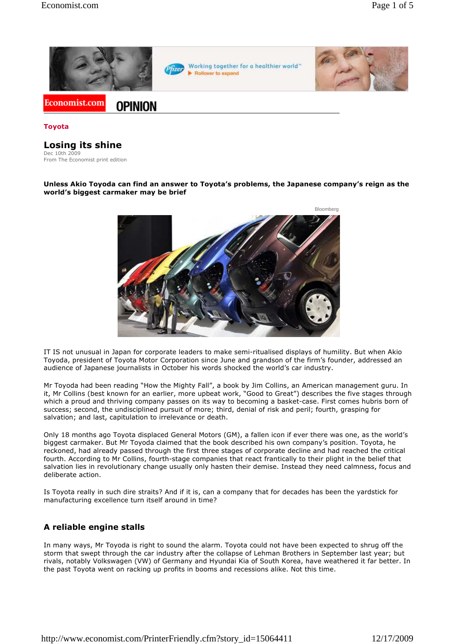

#### **Toyota**

### **Losing its shine**

Dec 10th 2009 From The Economist print edition

#### **Unless Akio Toyoda can find an answer to Toyota's problems, the Japanese company's reign as the world's biggest carmaker may be brief**



IT IS not unusual in Japan for corporate leaders to make semi-ritualised displays of humility. But when Akio Toyoda, president of Toyota Motor Corporation since June and grandson of the firm's founder, addressed an audience of Japanese journalists in October his words shocked the world's car industry.

Mr Toyoda had been reading "How the Mighty Fall", a book by Jim Collins, an American management guru. In it, Mr Collins (best known for an earlier, more upbeat work, "Good to Great") describes the five stages through which a proud and thriving company passes on its way to becoming a basket-case. First comes hubris born of success; second, the undisciplined pursuit of more; third, denial of risk and peril; fourth, grasping for salvation; and last, capitulation to irrelevance or death.

Only 18 months ago Toyota displaced General Motors (GM), a fallen icon if ever there was one, as the world's biggest carmaker. But Mr Toyoda claimed that the book described his own company's position. Toyota, he reckoned, had already passed through the first three stages of corporate decline and had reached the critical fourth. According to Mr Collins, fourth-stage companies that react frantically to their plight in the belief that salvation lies in revolutionary change usually only hasten their demise. Instead they need calmness, focus and deliberate action.

Is Toyota really in such dire straits? And if it is, can a company that for decades has been the yardstick for manufacturing excellence turn itself around in time?

### **A reliable engine stalls**

In many ways, Mr Toyoda is right to sound the alarm. Toyota could not have been expected to shrug off the storm that swept through the car industry after the collapse of Lehman Brothers in September last year; but rivals, notably Volkswagen (VW) of Germany and Hyundai Kia of South Korea, have weathered it far better. In the past Toyota went on racking up profits in booms and recessions alike. Not this time.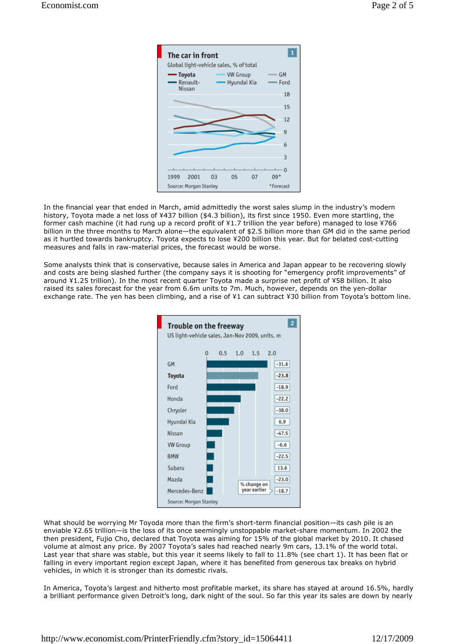

In the financial year that ended in March, amid admittedly the worst sales slump in the industry's modern history, Toyota made a net loss of ¥437 billion (\$4.3 billion), its first since 1950. Even more startling, the former cash machine (it had rung up a record profit of ¥1.7 trillion the year before) managed to lose ¥766 billion in the three months to March alone—the equivalent of \$2.5 billion more than GM did in the same period as it hurtled towards bankruptcy. Toyota expects to lose ¥200 billion this year. But for belated cost-cutting measures and falls in raw-material prices, the forecast would be worse.

Some analysts think that is conservative, because sales in America and Japan appear to be recovering slowly and costs are being slashed further (the company says it is shooting for "emergency profit improvements" of around ¥1.25 trillion). In the most recent quarter Toyota made a surprise net profit of ¥58 billion. It also raised its sales forecast for the year from 6.6m units to 7m. Much, however, depends on the yen-dollar exchange rate. The yen has been climbing, and a rise of ¥1 can subtract ¥30 billion from Toyota's bottom line.



What should be worrying Mr Toyoda more than the firm's short-term financial position—its cash pile is an enviable ¥2.65 trillion—is the loss of its once seemingly unstoppable market-share momentum. In 2002 the then president, Fujio Cho, declared that Toyota was aiming for 15% of the global market by 2010. It chased volume at almost any price. By 2007 Toyota's sales had reached nearly 9m cars, 13.1% of the world total. Last year that share was stable, but this year it seems likely to fall to 11.8% (see chart 1). It has been flat or falling in every important region except Japan, where it has benefited from generous tax breaks on hybrid vehicles, in which it is stronger than its domestic rivals.

In America, Toyota's largest and hitherto most profitable market, its share has stayed at around 16.5%, hardly a brilliant performance given Detroit's long, dark night of the soul. So far this year its sales are down by nearly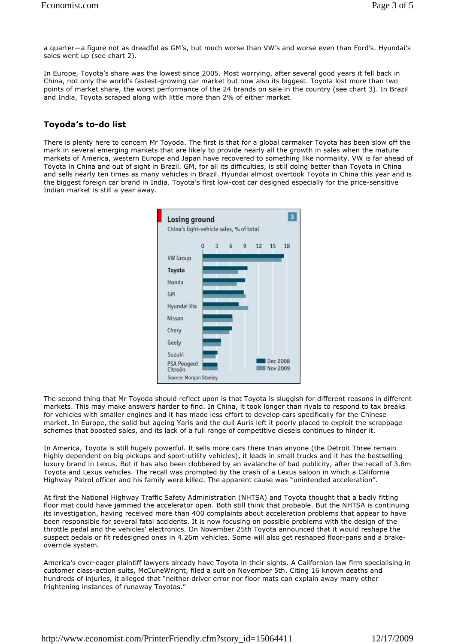a quarter—a figure not as dreadful as GM's, but much worse than VW's and worse even than Ford's. Hyundai's sales went up (see chart 2).

In Europe, Toyota's share was the lowest since 2005. Most worrying, after several good years it fell back in China, not only the world's fastest-growing car market but now also its biggest. Toyota lost more than two points of market share, the worst performance of the 24 brands on sale in the country (see chart 3). In Brazil and India, Toyota scraped along with little more than 2% of either market.

## **Toyoda's to-do list**

There is plenty here to concern Mr Toyoda. The first is that for a global carmaker Toyota has been slow off the mark in several emerging markets that are likely to provide nearly all the growth in sales when the mature markets of America, western Europe and Japan have recovered to something like normality. VW is far ahead of Toyota in China and out of sight in Brazil. GM, for all its difficulties, is still doing better than Toyota in China and sells nearly ten times as many vehicles in Brazil. Hyundai almost overtook Toyota in China this year and is the biggest foreign car brand in India. Toyota's first low-cost car designed especially for the price-sensitive Indian market is still a year away.



The second thing that Mr Toyoda should reflect upon is that Toyota is sluggish for different reasons in different markets. This may make answers harder to find. In China, it took longer than rivals to respond to tax breaks for vehicles with smaller engines and it has made less effort to develop cars specifically for the Chinese market. In Europe, the solid but ageing Yaris and the dull Auris left it poorly placed to exploit the scrappage schemes that boosted sales, and its lack of a full range of competitive diesels continues to hinder it.

In America, Toyota is still hugely powerful. It sells more cars there than anyone (the Detroit Three remain highly dependent on big pickups and sport-utility vehicles), it leads in small trucks and it has the bestselling luxury brand in Lexus. But it has also been clobbered by an avalanche of bad publicity, after the recall of 3.8m Toyota and Lexus vehicles. The recall was prompted by the crash of a Lexus saloon in which a California Highway Patrol officer and his family were killed. The apparent cause was "unintended acceleration".

At first the National Highway Traffic Safety Administration (NHTSA) and Toyota thought that a badly fitting floor mat could have jammed the accelerator open. Both still think that probable. But the NHTSA is continuing its investigation, having received more than 400 complaints about acceleration problems that appear to have been responsible for several fatal accidents. It is now focusing on possible problems with the design of the throttle pedal and the vehicles' electronics. On November 25th Toyota announced that it would reshape the suspect pedals or fit redesigned ones in 4.26m vehicles. Some will also get reshaped floor-pans and a brakeoverride system.

America's ever-eager plaintiff lawyers already have Toyota in their sights. A Californian law firm specialising in customer class-action suits, McCuneWright, filed a suit on November 5th. Citing 16 known deaths and hundreds of injuries, it alleged that "neither driver error nor floor mats can explain away many other frightening instances of runaway Toyotas."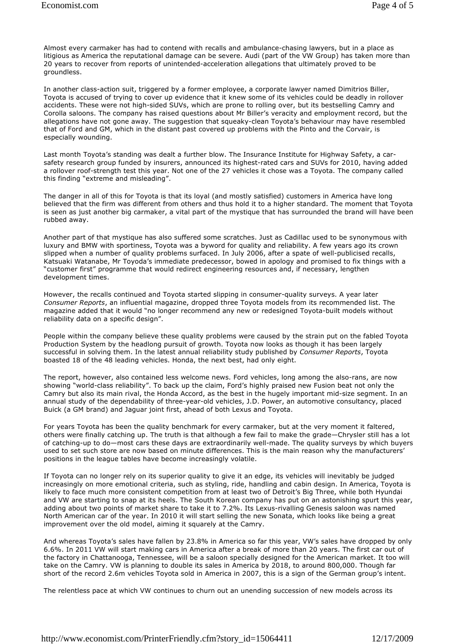Almost every carmaker has had to contend with recalls and ambulance-chasing lawyers, but in a place as litigious as America the reputational damage can be severe. Audi (part of the VW Group) has taken more than 20 years to recover from reports of unintended-acceleration allegations that ultimately proved to be groundless.

In another class-action suit, triggered by a former employee, a corporate lawyer named Dimitrios Biller, Toyota is accused of trying to cover up evidence that it knew some of its vehicles could be deadly in rollover accidents. These were not high-sided SUVs, which are prone to rolling over, but its bestselling Camry and Corolla saloons. The company has raised questions about Mr Biller's veracity and employment record, but the allegations have not gone away. The suggestion that squeaky-clean Toyota's behaviour may have resembled that of Ford and GM, which in the distant past covered up problems with the Pinto and the Corvair, is especially wounding.

Last month Toyota's standing was dealt a further blow. The Insurance Institute for Highway Safety, a carsafety research group funded by insurers, announced its highest-rated cars and SUVs for 2010, having added a rollover roof-strength test this year. Not one of the 27 vehicles it chose was a Toyota. The company called this finding "extreme and misleading".

The danger in all of this for Toyota is that its loyal (and mostly satisfied) customers in America have long believed that the firm was different from others and thus hold it to a higher standard. The moment that Toyota is seen as just another big carmaker, a vital part of the mystique that has surrounded the brand will have been rubbed away.

Another part of that mystique has also suffered some scratches. Just as Cadillac used to be synonymous with luxury and BMW with sportiness, Toyota was a byword for quality and reliability. A few years ago its crown slipped when a number of quality problems surfaced. In July 2006, after a spate of well-publicised recalls, Katsuaki Watanabe, Mr Toyoda's immediate predecessor, bowed in apology and promised to fix things with a "customer first" programme that would redirect engineering resources and, if necessary, lengthen development times.

However, the recalls continued and Toyota started slipping in consumer-quality surveys. A year later *Consumer Reports*, an influential magazine, dropped three Toyota models from its recommended list. The magazine added that it would "no longer recommend any new or redesigned Toyota-built models without reliability data on a specific design".

People within the company believe these quality problems were caused by the strain put on the fabled Toyota Production System by the headlong pursuit of growth. Toyota now looks as though it has been largely successful in solving them. In the latest annual reliability study published by *Consumer Reports*, Toyota boasted 18 of the 48 leading vehicles. Honda, the next best, had only eight.

The report, however, also contained less welcome news. Ford vehicles, long among the also-rans, are now showing "world-class reliability". To back up the claim, Ford's highly praised new Fusion beat not only the Camry but also its main rival, the Honda Accord, as the best in the hugely important mid-size segment. In an annual study of the dependability of three-year-old vehicles, J.D. Power, an automotive consultancy, placed Buick (a GM brand) and Jaguar joint first, ahead of both Lexus and Toyota.

For years Toyota has been the quality benchmark for every carmaker, but at the very moment it faltered, others were finally catching up. The truth is that although a few fail to make the grade—Chrysler still has a lot of catching-up to do—most cars these days are extraordinarily well-made. The quality surveys by which buyers used to set such store are now based on minute differences. This is the main reason why the manufacturers' positions in the league tables have become increasingly volatile.

If Toyota can no longer rely on its superior quality to give it an edge, its vehicles will inevitably be judged increasingly on more emotional criteria, such as styling, ride, handling and cabin design. In America, Toyota is likely to face much more consistent competition from at least two of Detroit's Big Three, while both Hyundai and VW are starting to snap at its heels. The South Korean company has put on an astonishing spurt this year, adding about two points of market share to take it to 7.2%. Its Lexus-rivalling Genesis saloon was named North American car of the year. In 2010 it will start selling the new Sonata, which looks like being a great improvement over the old model, aiming it squarely at the Camry.

And whereas Toyota's sales have fallen by 23.8% in America so far this year, VW's sales have dropped by only 6.6%. In 2011 VW will start making cars in America after a break of more than 20 years. The first car out of the factory in Chattanooga, Tennessee, will be a saloon specially designed for the American market. It too will take on the Camry. VW is planning to double its sales in America by 2018, to around 800,000. Though far short of the record 2.6m vehicles Toyota sold in America in 2007, this is a sign of the German group's intent.

The relentless pace at which VW continues to churn out an unending succession of new models across its